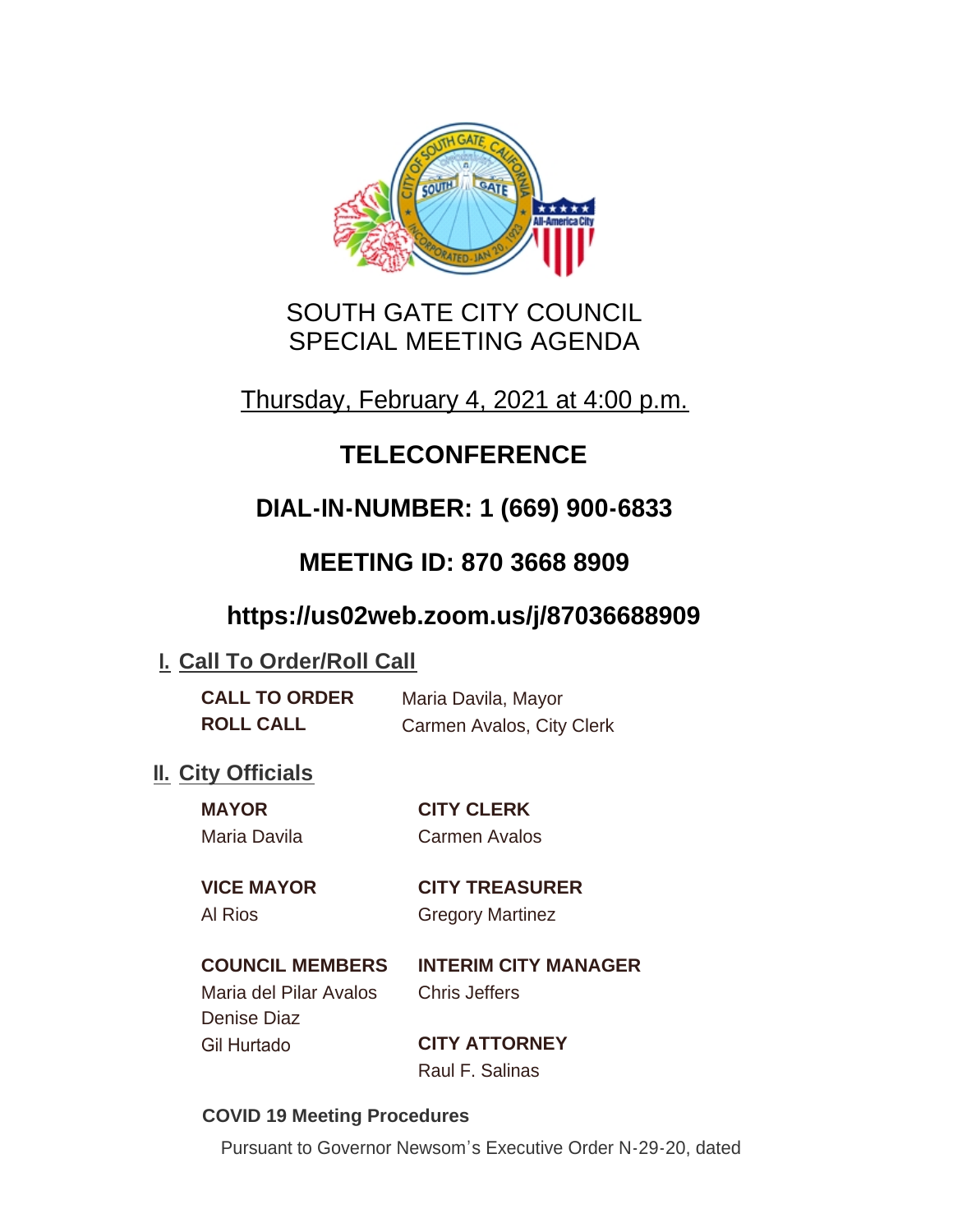

# SOUTH GATE CITY COUNCIL SPECIAL MEETING AGENDA

Thursday, February 4, 2021 at 4:00 p.m.

# **TELECONFERENCE**

# **DIAL-IN-NUMBER: 1 (669) 900-6833**

# **MEETING ID: 870 3668 8909**

## **https://us02web.zoom.us/j/87036688909**

## **I. Call To Order/Roll Call**

| <b>CALL TO ORDER</b> | Maria Davila, Mayor       |
|----------------------|---------------------------|
| <b>ROLL CALL</b>     | Carmen Avalos, City Clerk |

## **II.** City Officials

| <b>MAYOR</b> | <b>CITY CLERK</b>    |
|--------------|----------------------|
| Maria Davila | <b>Carmen Avalos</b> |
|              |                      |

## **VICE MAYOR CITY TREASURER**

Al Rios **Gregory Martinez** 

## **COUNCIL MEMBERS INTERIM CITY MANAGER**

Maria del Pilar Avalos Chris Jeffers Denise Diaz Gil Hurtado **CITY ATTORNEY**

Raul F. Salinas

## **COVID 19 Meeting Procedures**

Pursuant to Governor Newsom's Executive Order N-29-20, dated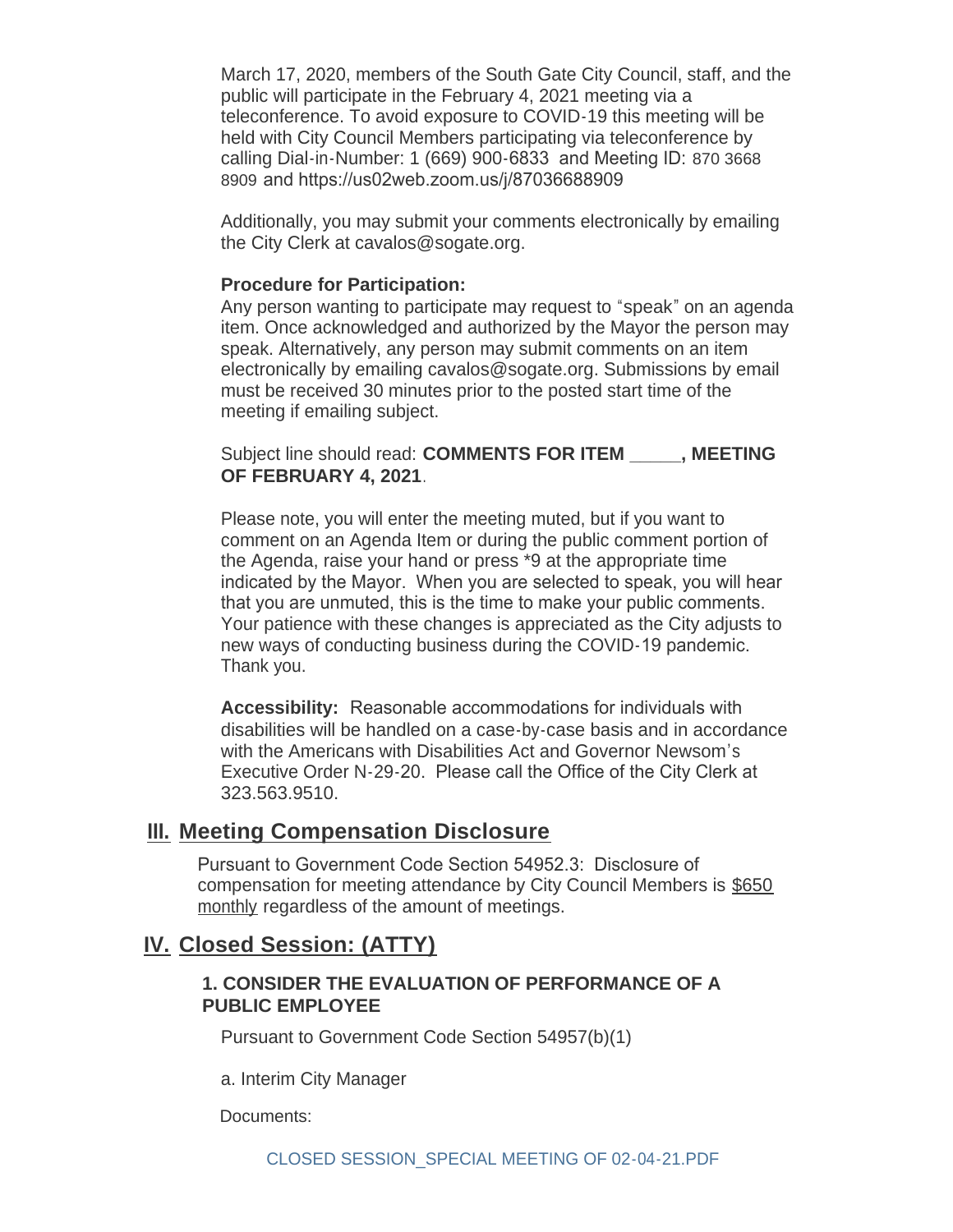March 17, 2020, members of the South Gate City Council, staff, and the public will participate in the February 4, 2021 meeting via a teleconference. To avoid exposure to COVID-19 this meeting will be held with City Council Members participating via teleconference by calling Dial-in-Number: 1 (669) 900-6833 and Meeting ID: 870 3668 8909 and https://us02web.zoom.us/j/87036688909

Additionally, you may submit your comments electronically by emailing the City Clerk at cavalos@sogate.org.

#### **Procedure for Participation:**

Any person wanting to participate may request to "speak" on an agenda item. Once acknowledged and authorized by the Mayor the person may speak. Alternatively, any person may submit comments on an item electronically by emailing cavalos@sogate.org. Submissions by email must be received 30 minutes prior to the posted start time of the meeting if emailing subject.

Subject line should read: **COMMENTS FOR ITEM \_\_\_\_\_, MEETING OF FEBRUARY 4, 2021**.

Please note, you will enter the meeting muted, but if you want to comment on an Agenda Item or during the public comment portion of the Agenda, raise your hand or press \*9 at the appropriate time indicated by the Mayor. When you are selected to speak, you will hear that you are unmuted, this is the time to make your public comments. Your patience with these changes is appreciated as the City adjusts to new ways of conducting business during the COVID-19 pandemic. Thank you.

**Accessibility:** Reasonable accommodations for individuals with disabilities will be handled on a case-by-case basis and in accordance with the Americans with Disabilities Act and Governor Newsom's Executive Order N-29-20. Please call the Office of the City Clerk at 323.563.9510.

## **Meeting Compensation Disclosure III.**

Pursuant to Government Code Section 54952.3: Disclosure of compensation for meeting attendance by City Council Members is \$650 monthly regardless of the amount of meetings.

## **Closed Session: (ATTY) IV.**

#### **1. CONSIDER THE EVALUATION OF PERFORMANCE OF A PUBLIC EMPLOYEE**

Pursuant to Government Code Section 54957(b)(1)

a. Interim City Manager

Documents: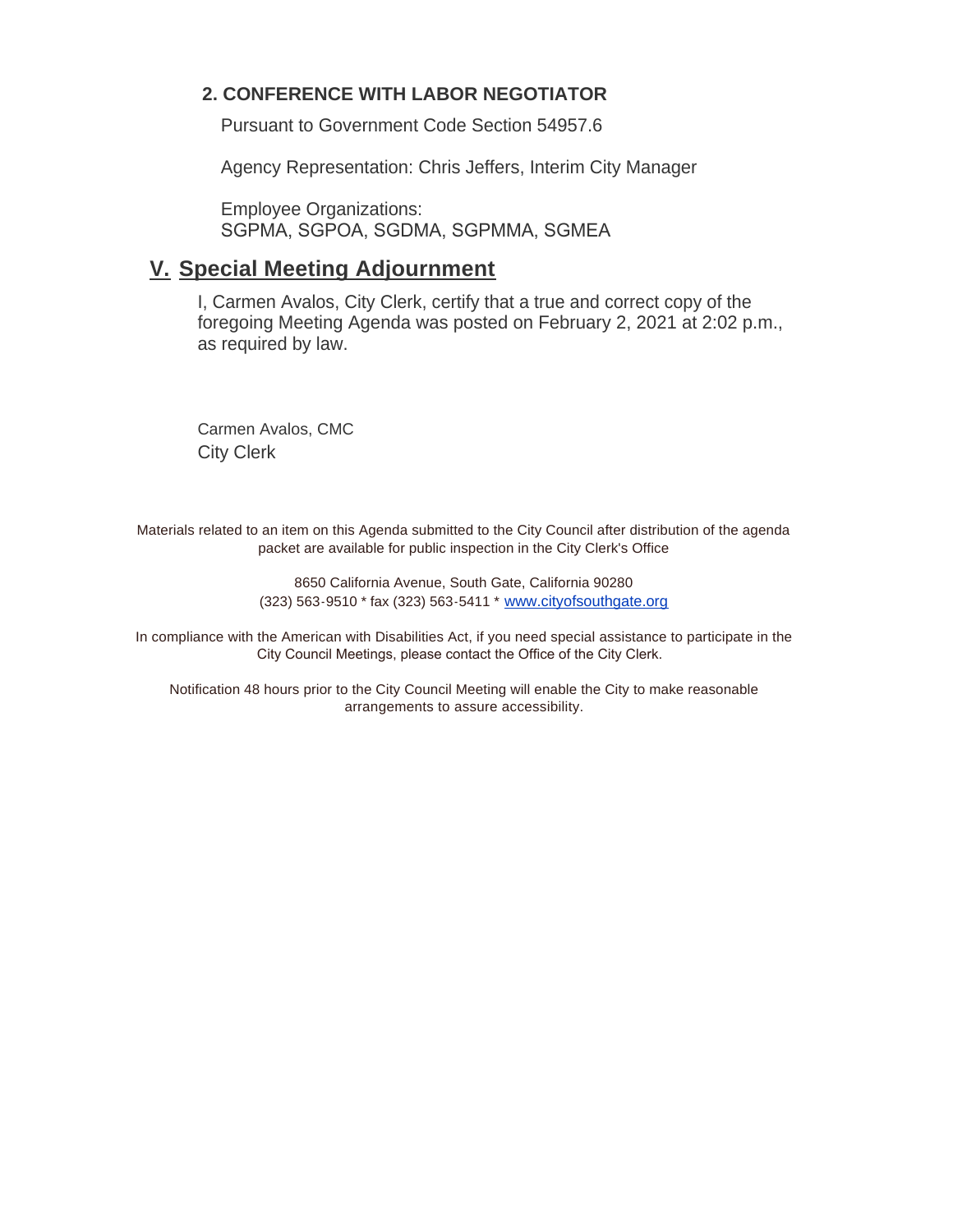#### **2. CONFERENCE WITH LABOR NEGOTIATOR**

Pursuant to Government Code Section 54957.6

Agency Representation: Chris Jeffers, Interim City Manager

Employee Organizations: SGPMA, SGPOA, SGDMA, SGPMMA, SGMEA

## **Special Meeting Adjournment V.**

I, Carmen Avalos, City Clerk, certify that a true and correct copy of the foregoing Meeting Agenda was posted on February 2, 2021 at 2:02 p.m., as required by law.

Carmen Avalos, CMC City Clerk

Materials related to an item on this Agenda submitted to the City Council after distribution of the agenda packet are available for public inspection in the City Clerk's Office

> 8650 California Avenue, South Gate, California 90280 (323) 563-9510 \* fax (323) 563-5411 \* [www.cityofsouthgate.org](http://www.cityofsouthgate.org/)

In compliance with the American with Disabilities Act, if you need special assistance to participate in the City Council Meetings, please contact the Office of the City Clerk.

Notification 48 hours prior to the City Council Meeting will enable the City to make reasonable arrangements to assure accessibility.